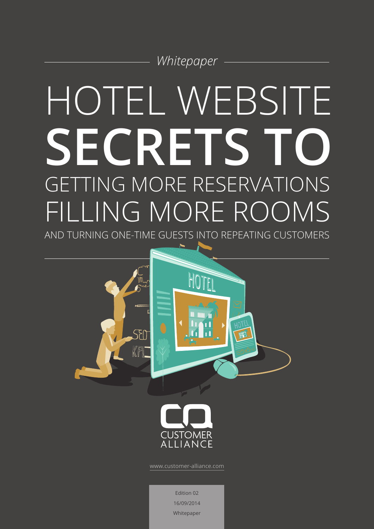

# HOTEL WEBSITE **SECRETS TO** GETTING MORE RESERVATIONS FILLING MORE ROOMS

AND TURNING ONE-TIME GUESTS INTO REPEATING CUSTOMERS





[www.customer-alliance.com](http://www.customer-alliance.com/en/)

Edition 02 16/09/2014 Whitepaper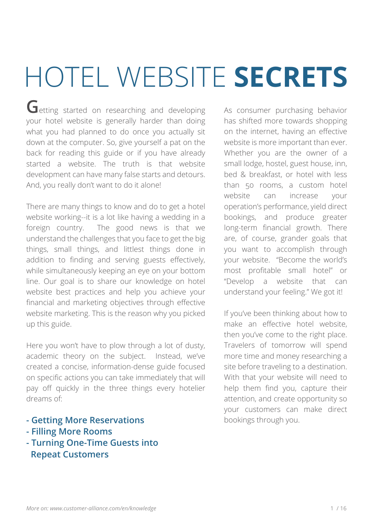# HOTEL WEBSITE **SECRETS**

**G**etting started on researching and developing your hotel website is generally harder than doing what you had planned to do once you actually sit down at the computer. So, give yourself a pat on the back for reading this guide or if you have already started a website. The truth is that website development can have many false starts and detours. And, you really don't want to do it alone!

There are many things to know and do to get a hotel website working--it is a lot like having a wedding in a foreign country. The good news is that we understand the challenges that you face to get the big things, small things, and littlest things done in addition to finding and serving guests effectively, while simultaneously keeping an eye on your bottom line. Our goal is to share our knowledge on hotel website best practices and help you achieve your financial and marketing objectives through effective website marketing. This is the reason why you picked up this guide.

Here you won't have to plow through a lot of dusty, academic theory on the subject. Instead, we've created a concise, information-dense guide focused on specific actions you can take immediately that will pay off quickly in the three things every hotelier dreams of:

- **Getting More Reservations**
- **Filling More Rooms**
- **Turning One-Time Guests into Repeat Customers**

As consumer purchasing behavior has shifted more towards shopping on the internet, having an effective website is more important than ever. Whether you are the owner of a small lodge, hostel, guest house, inn, bed & breakfast, or hotel with less than 50 rooms, a custom hotel website can increase your operation's performance, yield direct bookings, and produce greater long-term financial growth. There are, of course, grander goals that you want to accomplish through your website. "Become the world's most profitable small hotel" or "Develop a website that can understand your feeling." We got it!

If you've been thinking about how to make an effective hotel website, then you've come to the right place. Travelers of tomorrow will spend more time and money researching a site before traveling to a destination. With that your website will need to help them find you, capture their attention, and create opportunity so your customers can make direct bookings through you.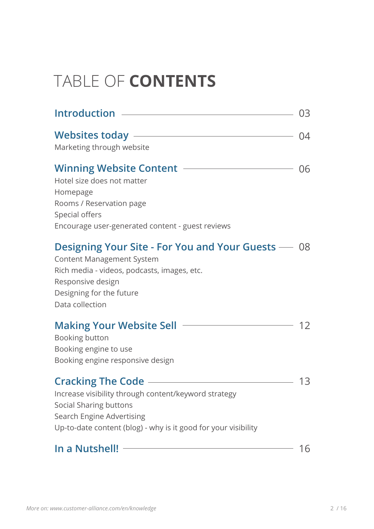## TABLE OF **CONTENTS**

|                                                                                             | 03  |
|---------------------------------------------------------------------------------------------|-----|
|                                                                                             | -04 |
| Marketing through website                                                                   |     |
| <b>Winning Website Content</b>                                                              | 06  |
| Hotel size does not matter                                                                  |     |
| Homepage<br>Rooms / Reservation page                                                        |     |
| Special offers                                                                              |     |
| Encourage user-generated content - guest reviews                                            |     |
| <b>Designing Your Site - For You and Your Guests</b> — 08                                   |     |
| <b>Content Management System</b>                                                            |     |
| Rich media - videos, podcasts, images, etc.                                                 |     |
| Responsive design<br>Designing for the future                                               |     |
| Data collection                                                                             |     |
| <b>Making Your Website Sell</b>                                                             | 12  |
| Booking button                                                                              |     |
| Booking engine to use                                                                       |     |
| Booking engine responsive design                                                            |     |
| <b>Cracking The Code -</b>                                                                  | 13  |
| Increase visibility through content/keyword strategy                                        |     |
| <b>Social Sharing buttons</b>                                                               |     |
| Search Engine Advertising<br>Up-to-date content (blog) - why is it good for your visibility |     |
|                                                                                             |     |
| In a Nutshell!                                                                              | 16  |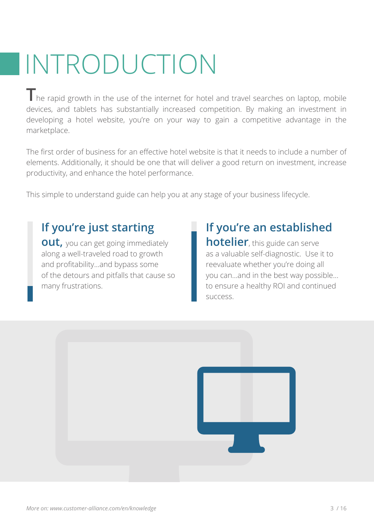# INTRODUCTION

The rapid growth in the use of the internet for hotel and travel searches on laptop, mobile devices, and tablets has substantially increased competition. By making an investment in developing a hotel website, you're on your way to gain a competitive advantage in the marketplace.

The first order of business for an effective hotel website is that it needs to include a number of elements. Additionally, it should be one that will deliver a good return on investment, increase productivity, and enhance the hotel performance.

This simple to understand guide can help you at any stage of your business lifecycle.

#### **If you're just starting**

**out,** you can get going immediately along a well-traveled road to growth and profitability...and bypass some of the detours and pitfalls that cause so many frustrations.

#### **If you're an established**

**hotelier**, this guide can serve as a valuable self-diagnostic. Use it to reevaluate whether you're doing all you can...and in the best way possible... to ensure a healthy ROI and continued success.

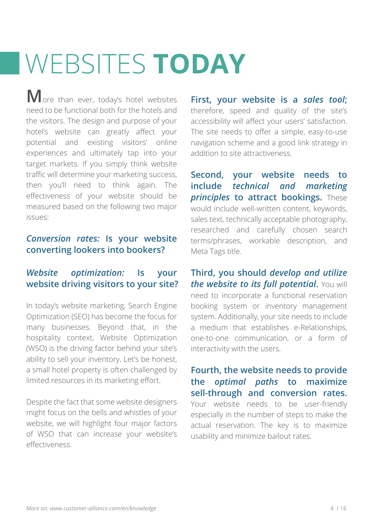# WEBSITES **TODAY**

**M**ore than ever, today's hotel websites need to be functional both for the hotels and the visitors. The design and purpose of your hotel's website can greatly affect your potential and existing visitors' online experiences and ultimately tap into your target markets. If you simply think website traffic will determine your marketing success, then you'll need to think again. The effectiveness of your website should be measured based on the following two major issues:

#### *Conversion rates:* **Is your website converting lookers into bookers?**

#### *Website optimization:* **Is your website driving visitors to your site?**

In today's website marketing, Search Engine Optimization (SEO) has become the focus for many businesses. Beyond that, in the hospitality context, Website Optimization (WSO) is the driving factor behind your site's ability to sell your inventory. Let's be honest, a small hotel property is often challenged by limited resources in its marketing effort.

Despite the fact that some website designers might focus on the bells and whistles of your website, we will highlight four major factors of WSO that can increase your website's effectiveness.

**First, your website is a** *sales tool***;** therefore, speed and quality of the site's accessibility will affect your users' satisfaction. The site needs to offer a simple, easy-to-use navigation scheme and a good link strategy in addition to site attractiveness.

**Second, your website needs to include** *technical and marketing*  **principles to attract bookings.** These would include well-written content, keywords, sales text, technically acceptable photography, researched and carefully chosen search terms/phrases, workable description, and Meta Tags title.

**Third, you should** *develop and utilize the website to its full potential. You will* need to incorporate a functional reservation booking system or inventory management system. Additionally, your site needs to include a medium that establishes e-Relationships, one-to-one communication, or a form of interactivity with the users.

**Fourth, the website needs to provide the** *optimal paths* **to maximize sell-through and conversion rates.**  Your website needs to be user-friendly especially in the number of steps to make the actual reservation. The key is to maximize usability and minimize bailout rates.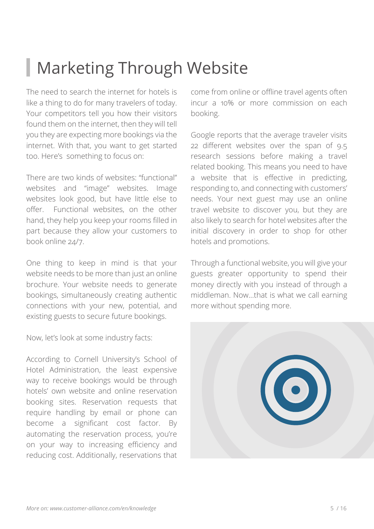## Marketing Through Website

The need to search the internet for hotels is like a thing to do for many travelers of today. Your competitors tell you how their visitors found them on the internet, then they will tell you they are expecting more bookings via the internet. With that, you want to get started too. Here's something to focus on:

There are two kinds of websites: "functional" websites and "image" websites. Image websites look good, but have little else to offer. Functional websites, on the other hand, they help you keep your rooms filled in part because they allow your customers to book online 24/7.

One thing to keep in mind is that your website needs to be more than just an online brochure. Your website needs to generate bookings, simultaneously creating authentic connections with your new, potential, and existing guests to secure future bookings.

Now, let's look at some industry facts:

According to Cornell University's School of Hotel Administration, the least expensive way to receive bookings would be through hotels' own website and online reservation booking sites. Reservation requests that require handling by email or phone can become a significant cost factor. By automating the reservation process, you're on your way to increasing efficiency and reducing cost. Additionally, reservations that

come from online or offline travel agents often incur a 10% or more commission on each booking.

Google reports that the average traveler visits 22 different websites over the span of 9.5 research sessions before making a travel related booking. This means you need to have a website that is effective in predicting, responding to, and connecting with customers' needs. Your next guest may use an online travel website to discover you, but they are also likely to search for hotel websites after the initial discovery in order to shop for other hotels and promotions.

Through a functional website, you will give your guests greater opportunity to spend their money directly with you instead of through a middleman. Now...that is what we call earning more without spending more.

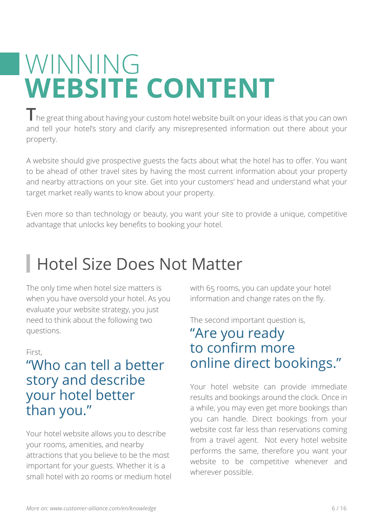## WINNING **WEBSITE CONTENT**

**T**he great thing about having your custom hotel website built on your ideas is that you can own and tell your hotel's story and clarify any misrepresented information out there about your property.

A website should give prospective guests the facts about what the hotel has to offer. You want to be ahead of other travel sites by having the most current information about your property and nearby attractions on your site. Get into your customers' head and understand what your target market really wants to know about your property.

Even more so than technology or beauty, you want your site to provide a unique, competitive advantage that unlocks key benefits to booking your hotel.

## Hotel Size Does Not Matter

The only time when hotel size matters is when you have oversold your hotel. As you evaluate your website strategy, you just need to think about the following two questions.

#### First,

#### "Who can tell a better story and describe your hotel better than you."

Your hotel website allows you to describe your rooms, amenities, and nearby attractions that you believe to be the most important for your guests. Whether it is a small hotel with 20 rooms or medium hotel with 65 rooms, you can update your hotel information and change rates on the fly.

The second important question is,

#### "Are you ready to confirm more online direct bookings."

Your hotel website can provide immediate results and bookings around the clock. Once in a while, you may even get more bookings than you can handle. Direct bookings from your website cost far less than reservations coming from a travel agent. Not every hotel website performs the same, therefore you want your website to be competitive whenever and wherever possible.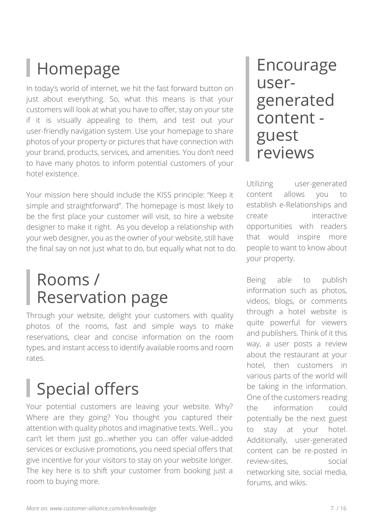## Homepage

In today's world of internet, we hit the fast forward button on just about everything. So, what this means is that your customers will look at what you have to offer, stay on your site if it is visually appealing to them, and test out your user-friendly navigation system. Use your homepage to share photos of your property or pictures that have connection with your brand, products, services, and amenities. You don't need to have many photos to inform potential customers of your hotel existence.

Your mission here should include the KISS principle: "Keep it simple and straightforward". The homepage is most likely to be the first place your customer will visit, so hire a website designer to make it right. As you develop a relationship with your web designer, you as the owner of your website, still have the final say on not just what to do, but equally what not to do.

## Rooms / Reservation page

Through your website, delight your customers with quality photos of the rooms, fast and simple ways to make reservations, clear and concise information on the room types, and instant access to identify available rooms and room rates.

## Special offers

Your potential customers are leaving your website. Why? Where are they going? You thought you captured their attention with quality photos and imaginative texts. Well... you can't let them just go...whether you can offer value-added services or exclusive promotions, you need special offers that give incentive for your visitors to stay on your website longer. The key here is to shift your customer from booking just a room to buying more.

### Encourage usergenerated content guest reviews

Utilizing user-generated content allows you to establish e-Relationships and create interactive opportunities with readers that would inspire more people to want to know about your property.

Being able to publish information such as photos, videos, blogs, or comments through a hotel website is quite powerful for viewers and publishers. Think of it this way, a user posts a review about the restaurant at your hotel, then customers in various parts of the world will be taking in the information. One of the customers reading the information could potentially be the next guest to stay at your hotel. Additionally, user-generated content can be re-posted in review-sites, social networking site, social media, forums, and wikis.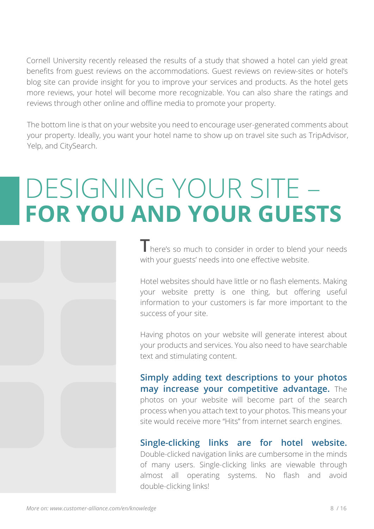Cornell University recently released the results of a study that showed a hotel can yield great benefits from guest reviews on the accommodations. Guest reviews on review-sites or hotel's blog site can provide insight for you to improve your services and products. As the hotel gets more reviews, your hotel will become more recognizable. You can also share the ratings and reviews through other online and offline media to promote your property.

The bottom line is that on your website you need to encourage user-generated comments about your property. Ideally, you want your hotel name to show up on travel site such as TripAdvisor, Yelp, and CitySearch.

## DESIGNING YOUR SITE – **FOR YOU AND YOUR GUESTS**

**T**here's so much to consider in order to blend your needs with your guests' needs into one effective website.

Hotel websites should have little or no flash elements. Making your website pretty is one thing, but offering useful information to your customers is far more important to the success of your site.

Having photos on your website will generate interest about your products and services. You also need to have searchable text and stimulating content.

**Simply adding text descriptions to your photos may increase your competitive advantage.** The photos on your website will become part of the search process when you attach text to your photos. This means your site would receive more "Hits" from internet search engines.

#### **Single-clicking links are for hotel website.**

Double-clicked navigation links are cumbersome in the minds of many users. Single-clicking links are viewable through almost all operating systems. No flash and avoid double-clicking links!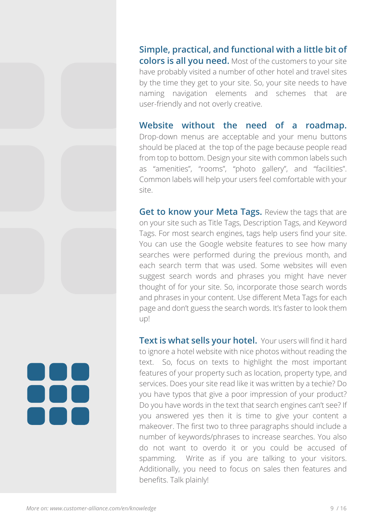**Simple, practical, and functional with a little bit of colors is all you need.** Most of the customers to your site have probably visited a number of other hotel and travel sites by the time they get to your site. So, your site needs to have naming navigation elements and schemes that are user-friendly and not overly creative.

**Website without the need of a roadmap.** Drop-down menus are acceptable and your menu buttons should be placed at the top of the page because people read from top to bottom. Design your site with common labels such as "amenities", "rooms", "photo gallery", and "facilities". Common labels will help your users feel comfortable with your site.

**Get to know your Meta Tags.** Review the tags that are on your site such as Title Tags, Description Tags, and Keyword Tags. For most search engines, tags help users find your site. You can use the Google website features to see how many searches were performed during the previous month, and each search term that was used. Some websites will even suggest search words and phrases you might have never thought of for your site. So, incorporate those search words and phrases in your content. Use different Meta Tags for each page and don't guess the search words. It's faster to look them up!

**Text is what sells your hotel.** Your users will find it hard to ignore a hotel website with nice photos without reading the text. So, focus on texts to highlight the most important features of your property such as location, property type, and services. Does your site read like it was written by a techie? Do you have typos that give a poor impression of your product? Do you have words in the text that search engines can't see? If you answered yes then it is time to give your content a makeover. The first two to three paragraphs should include a number of keywords/phrases to increase searches. You also do not want to overdo it or you could be accused of spamming. Write as if you are talking to your visitors. Additionally, you need to focus on sales then features and benefits. Talk plainly!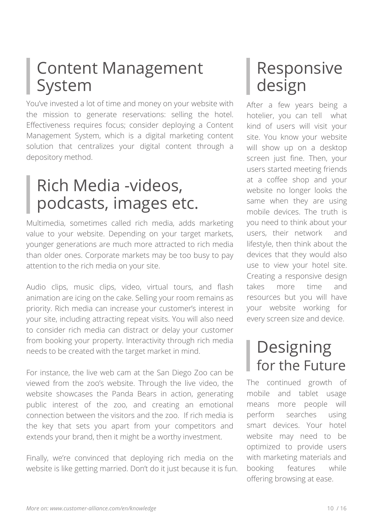## Content Management System

You've invested a lot of time and money on your website with the mission to generate reservations: selling the hotel. Effectiveness requires focus; consider deploying a Content Management System, which is a digital marketing content solution that centralizes your digital content through a depository method.

## Rich Media -videos, podcasts, images etc.

Multimedia, sometimes called rich media, adds marketing value to your website. Depending on your target markets, younger generations are much more attracted to rich media than older ones. Corporate markets may be too busy to pay attention to the rich media on your site.

Audio clips, music clips, video, virtual tours, and flash animation are icing on the cake. Selling your room remains as priority. Rich media can increase your customer's interest in your site, including attracting repeat visits. You will also need to consider rich media can distract or delay your customer from booking your property. Interactivity through rich media needs to be created with the target market in mind.

For instance, the live web cam at the San Diego Zoo can be viewed from the zoo's website. Through the live video, the website showcases the Panda Bears in action, generating public interest of the zoo, and creating an emotional connection between the visitors and the zoo. If rich media is the key that sets you apart from your competitors and extends your brand, then it might be a worthy investment.

Finally, we're convinced that deploying rich media on the website is like getting married. Don't do it just because it is fun.

## Responsive design

After a few years being a hotelier, you can tell what kind of users will visit your site. You know your website will show up on a desktop screen just fine. Then, your users started meeting friends at a coffee shop and your website no longer looks the same when they are using mobile devices. The truth is you need to think about your users, their network and lifestyle, then think about the devices that they would also use to view your hotel site. Creating a responsive design takes more time and resources but you will have your website working for every screen size and device.

### Designing for the Future

The continued growth of mobile and tablet usage means more people will perform searches using smart devices. Your hotel website may need to be optimized to provide users with marketing materials and booking features while offering browsing at ease.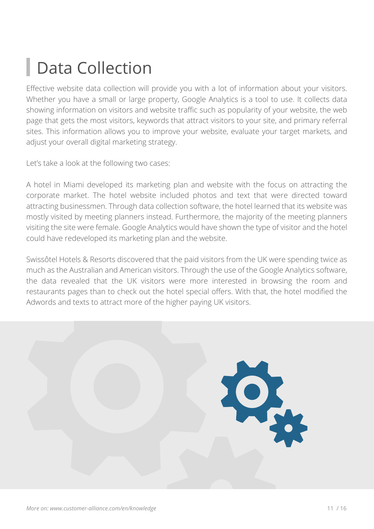## **Data Collection**

Effective website data collection will provide you with a lot of information about your visitors. Whether you have a small or large property, Google Analytics is a tool to use. It collects data showing information on visitors and website traffic such as popularity of your website, the web page that gets the most visitors, keywords that attract visitors to your site, and primary referral sites. This information allows you to improve your website, evaluate your target markets, and adjust your overall digital marketing strategy.

Let's take a look at the following two cases:

A hotel in Miami developed its marketing plan and website with the focus on attracting the corporate market. The hotel website included photos and text that were directed toward attracting businessmen. Through data collection software, the hotel learned that its website was mostly visited by meeting planners instead. Furthermore, the majority of the meeting planners visiting the site were female. Google Analytics would have shown the type of visitor and the hotel could have redeveloped its marketing plan and the website.

Swissôtel Hotels & Resorts discovered that the paid visitors from the UK were spending twice as much as the Australian and American visitors. Through the use of the Google Analytics software, the data revealed that the UK visitors were more interested in browsing the room and restaurants pages than to check out the hotel special offers. With that, the hotel modified the Adwords and texts to attract more of the higher paying UK visitors.

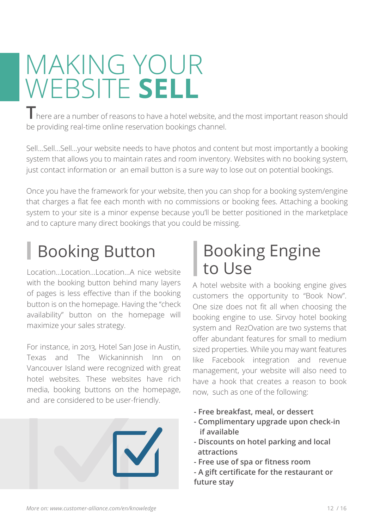## MAKING YOUR WEBSITE **SELL**

**T** here are a number of reasons to have a hotel website, and the most important reason should be providing real-time online reservation bookings channel.

Sell...Sell...Sell...your website needs to have photos and content but most importantly a booking system that allows you to maintain rates and room inventory. Websites with no booking system, just contact information or an email button is a sure way to lose out on potential bookings.

Once you have the framework for your website, then you can shop for a booking system/engine that charges a flat fee each month with no commissions or booking fees. Attaching a booking system to your site is a minor expense because you'll be better positioned in the marketplace and to capture many direct bookings that you could be missing.

## Booking Button

Location...Location...Location...A nice website with the booking button behind many layers of pages is less effective than if the booking button is on the homepage. Having the "check availability" button on the homepage will maximize your sales strategy.

For instance, in 2013, Hotel San Jose in Austin, Texas and The Wickaninnish Inn on Vancouver Island were recognized with great hotel websites. These websites have rich media, booking buttons on the homepage, and are considered to be user-friendly.



## Booking Engine to Use

A hotel website with a booking engine gives customers the opportunity to "Book Now". One size does not fit all when choosing the booking engine to use. Sirvoy hotel booking system and RezOvation are two systems that offer abundant features for small to medium sized properties. While you may want features like Facebook integration and revenue management, your website will also need to have a hook that creates a reason to book now, such as one of the following:

- **Free breakfast, meal, or dessert**
- **Complimentary upgrade upon check-in if available**
- **Discounts on hotel parking and local attractions**
- **Free use of spa or fitness room**
- **A gift certificate for the restaurant or future stay**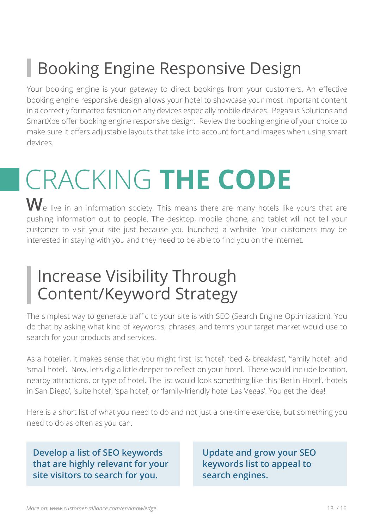## **Booking Engine Responsive Design**

Your booking engine is your gateway to direct bookings from your customers. An effective booking engine responsive design allows your hotel to showcase your most important content in a correctly formatted fashion on any devices especially mobile devices. Pegasus Solutions and SmartXbe offer booking engine responsive design. Review the booking engine of your choice to make sure it offers adjustable layouts that take into account font and images when using smart devices.

# CRACKING **THE CODE**

We live in an information society. This means there are many hotels like yours that are pushing information out to people. The desktop, mobile phone, and tablet will not tell your customer to visit your site just because you launched a website. Your customers may be interested in staying with you and they need to be able to find you on the internet.

## Increase Visibility Through Content/Keyword Strategy

The simplest way to generate traffic to your site is with SEO (Search Engine Optimization). You do that by asking what kind of keywords, phrases, and terms your target market would use to search for your products and services.

As a hotelier, it makes sense that you might first list 'hotel', 'bed & breakfast', 'family hotel', and 'small hotel'. Now, let's dig a little deeper to reflect on your hotel. These would include location, nearby attractions, or type of hotel. The list would look something like this 'Berlin Hotel', 'hotels in San Diego', 'suite hotel', 'spa hotel', or 'family-friendly hotel Las Vegas'. You get the idea!

Here is a short list of what you need to do and not just a one-time exercise, but something you need to do as often as you can.

**Develop a list of SEO keywords that are highly relevant for your site visitors to search for you.**

**Update and grow your SEO keywords list to appeal to search engines.**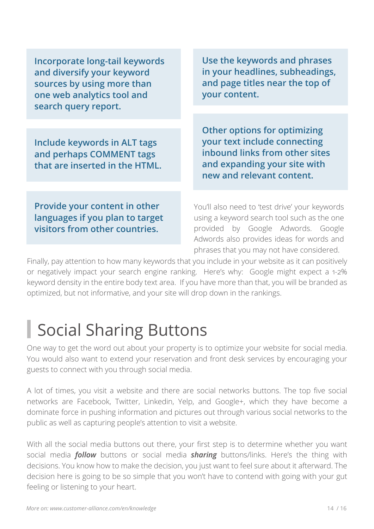**Incorporate long-tail keywords and diversify your keyword sources by using more than one web analytics tool and search query report.**

**Include keywords in ALT tags and perhaps COMMENT tags that are inserted in the HTML.** 

**Use the keywords and phrases in your headlines, subheadings, and page titles near the top of your content.**

**Other options for optimizing your text include connecting inbound links from other sites and expanding your site with new and relevant content.**

**Provide your content in other languages if you plan to target visitors from other countries.** 

You'll also need to 'test drive' your keywords using a keyword search tool such as the one provided by Google Adwords. Google Adwords also provides ideas for words and phrases that you may not have considered.

Finally, pay attention to how many keywords that you include in your website as it can positively or negatively impact your search engine ranking. Here's why: Google might expect a 1-2% keyword density in the entire body text area. If you have more than that, you will be branded as optimized, but not informative, and your site will drop down in the rankings.

## Social Sharing Buttons

One way to get the word out about your property is to optimize your website for social media. You would also want to extend your reservation and front desk services by encouraging your guests to connect with you through social media.

A lot of times, you visit a website and there are social networks buttons. The top five social networks are Facebook, Twitter, Linkedin, Yelp, and Google+, which they have become a dominate force in pushing information and pictures out through various social networks to the public as well as capturing people's attention to visit a website.

With all the social media buttons out there, your first step is to determine whether you want social media *follow* buttons or social media *sharing* buttons/links. Here's the thing with decisions. You know how to make the decision, you just want to feel sure about it afterward. The decision here is going to be so simple that you won't have to contend with going with your gut feeling or listening to your heart.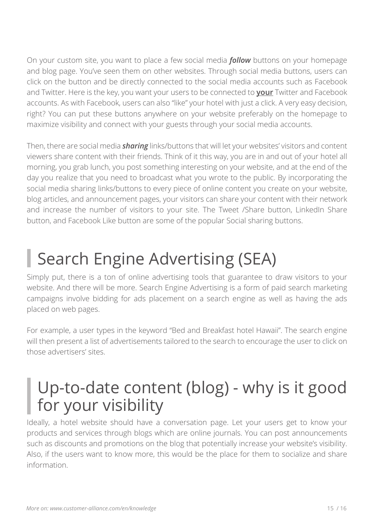On your custom site, you want to place a few social media *follow* buttons on your homepage and blog page. You've seen them on other websites. Through social media buttons, users can click on the button and be directly connected to the social media accounts such as Facebook and Twitter. Here is the key, you want your users to be connected to **your** Twitter and Facebook accounts. As with Facebook, users can also "like" your hotel with just a click. A very easy decision, right? You can put these buttons anywhere on your website preferably on the homepage to maximize visibility and connect with your guests through your social media accounts.

Then, there are social media *sharing* links/buttons that will let your websites' visitors and content viewers share content with their friends. Think of it this way, you are in and out of your hotel all morning, you grab lunch, you post something interesting on your website, and at the end of the day you realize that you need to broadcast what you wrote to the public. By incorporating the social media sharing links/buttons to every piece of online content you create on your website, blog articles, and announcement pages, your visitors can share your content with their network and increase the number of visitors to your site. The Tweet /Share button, LinkedIn Share button, and Facebook Like button are some of the popular Social sharing buttons.

## Search Engine Advertising (SEA)

Simply put, there is a ton of online advertising tools that guarantee to draw visitors to your website. And there will be more. Search Engine Advertising is a form of paid search marketing campaigns involve bidding for ads placement on a search engine as well as having the ads placed on web pages.

For example, a user types in the keyword "Bed and Breakfast hotel Hawaii". The search engine will then present a list of advertisements tailored to the search to encourage the user to click on those advertisers' sites.

## Up-to-date content (blog) - why is it good for your visibility

Ideally, a hotel website should have a conversation page. Let your users get to know your products and services through blogs which are online journals. You can post announcements such as discounts and promotions on the blog that potentially increase your website's visibility. Also, if the users want to know more, this would be the place for them to socialize and share information.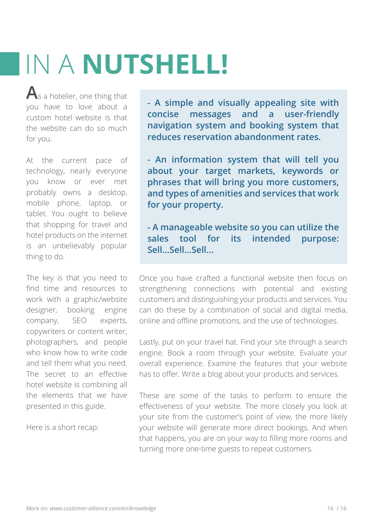# IN A **NUTSHELL!**

**A**s a hotelier, one thing that you have to love about a custom hotel website is that the website can do so much for you.

At the current pace of technology, nearly everyone you know or ever met probably owns a desktop, mobile phone, laptop, or tablet. You ought to believe that shopping for travel and hotel products on the internet is an unbelievably popular thing to do.

The key is that you need to find time and resources to work with a graphic/website designer, booking engine company, SEO experts, copywriters or content writer, photographers, and people who know how to write code and tell them what you need. The secret to an effective hotel website is combining all the elements that we have presented in this guide.

Here is a short recap:

**- A simple and visually appealing site with concise messages and a user-friendly navigation system and booking system that reduces reservation abandonment rates.**

**- An information system that will tell you about your target markets, keywords or phrases that will bring you more customers, and types of amenities and services that work for your property.**

**- A manageable website so you can utilize the sales tool for its intended purpose: Sell...Sell...Sell...**

Once you have crafted a functional website then focus on strengthening connections with potential and existing customers and distinguishing your products and services. You can do these by a combination of social and digital media, online and offline promotions, and the use of technologies.

Lastly, put on your travel hat. Find your site through a search engine. Book a room through your website. Evaluate your overall experience. Examine the features that your website has to offer. Write a blog about your products and services.

These are some of the tasks to perform to ensure the effectiveness of your website. The more closely you look at your site from the customer's point of view, the more likely your website will generate more direct bookings. And when that happens, you are on your way to filling more rooms and turning more one-time guests to repeat customers.